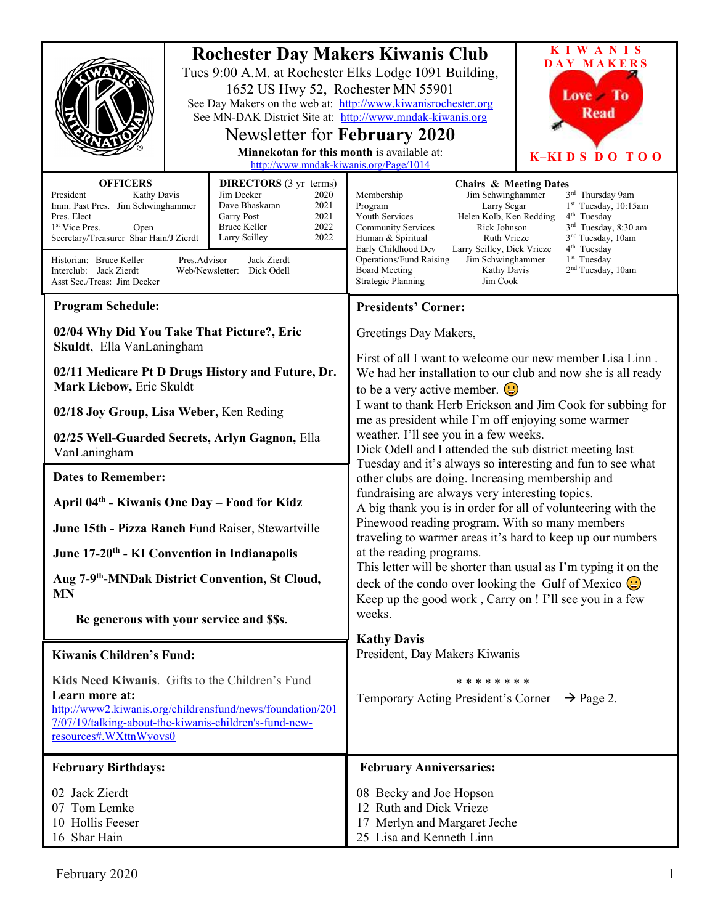| <b>Rochester Day Makers Kiwanis Club</b><br>Tues 9:00 A.M. at Rochester Elks Lodge 1091 Building,<br>1652 US Hwy 52, Rochester MN 55901<br>See Day Makers on the web at: http://www.kiwanisrochester.org<br>See MN-DAK District Site at: http://www.mndak-kiwanis.org<br>Newsletter for February 2020<br>Minnekotan for this month is available at:<br>http://www.mndak-kiwanis.org/Page/1014                                                                                                                                                                                               | <b>KIWANIS</b><br>DAY MAKERS<br>Love To<br><b>Read</b><br>K-KIDS DO TOO                                                                                                                                                                                                                                                                                                                                                                                                                                                                                                                                                                                                                                                                                                                                                                                                                                                                                                                                                                    |
|---------------------------------------------------------------------------------------------------------------------------------------------------------------------------------------------------------------------------------------------------------------------------------------------------------------------------------------------------------------------------------------------------------------------------------------------------------------------------------------------------------------------------------------------------------------------------------------------|--------------------------------------------------------------------------------------------------------------------------------------------------------------------------------------------------------------------------------------------------------------------------------------------------------------------------------------------------------------------------------------------------------------------------------------------------------------------------------------------------------------------------------------------------------------------------------------------------------------------------------------------------------------------------------------------------------------------------------------------------------------------------------------------------------------------------------------------------------------------------------------------------------------------------------------------------------------------------------------------------------------------------------------------|
| <b>OFFICERS</b><br><b>DIRECTORS</b> (3 yr terms)<br>Jim Decker<br>President<br>Kathy Davis<br>2020<br>Dave Bhaskaran<br>Imm. Past Pres. Jim Schwinghammer<br>2021<br>Garry Post<br>2021<br>Pres. Elect<br>2022<br>1 <sup>st</sup> Vice Pres.<br>Bruce Keller<br>Open<br>Secretary/Treasurer Shar Hain/J Zierdt<br>2022<br>Larry Scilley<br>Historian: Bruce Keller<br>Pres.Advisor<br>Jack Zierdt<br>Interclub: Jack Zierdt<br>Web/Newsletter: Dick Odell<br>Asst Sec./Treas: Jim Decker                                                                                                    | <b>Chairs &amp; Meeting Dates</b><br>Jim Schwinghammer<br>3 <sup>rd</sup> Thursday 9am<br>Membership<br>$1st$ Tuesday, 10:15am<br>Program<br>Larry Segar<br>Youth Services<br>Helen Kolb, Ken Redding<br>$4th$ Tuesday<br><b>Community Services</b><br>$3rd$ Tuesday, 8:30 am<br>Rick Johnson<br>3 <sup>nd</sup> Tuesday, 10am<br>Human & Spiritual<br>Ruth Vrieze<br>4 <sup>th</sup> Tuesday<br>Early Childhood Dev<br>Larry Scilley, Dick Vrieze<br>$1st$ Tuesday<br><b>Operations/Fund Raising</b><br>Jim Schwinghammer<br>2 <sup>nd</sup> Tuesday, 10am<br><b>Board Meeting</b><br>Kathy Davis<br><b>Strategic Planning</b><br>Jim Cook                                                                                                                                                                                                                                                                                                                                                                                                |
| <b>Program Schedule:</b>                                                                                                                                                                                                                                                                                                                                                                                                                                                                                                                                                                    | <b>Presidents' Corner:</b>                                                                                                                                                                                                                                                                                                                                                                                                                                                                                                                                                                                                                                                                                                                                                                                                                                                                                                                                                                                                                 |
| 02/04 Why Did You Take That Picture?, Eric<br>Skuldt, Ella VanLaningham<br>02/11 Medicare Pt D Drugs History and Future, Dr.<br>Mark Liebow, Eric Skuldt<br>02/18 Joy Group, Lisa Weber, Ken Reding<br>02/25 Well-Guarded Secrets, Arlyn Gagnon, Ella<br>VanLaningham<br><b>Dates to Remember:</b><br>April 04th - Kiwanis One Day - Food for Kidz<br>June 15th - Pizza Ranch Fund Raiser, Stewartville<br>June 17-20 <sup>th</sup> - KI Convention in Indianapolis<br>Aug 7-9 <sup>th</sup> -MNDak District Convention, St Cloud,<br><b>MN</b><br>Be generous with your service and \$\$s. | Greetings Day Makers,<br>First of all I want to welcome our new member Lisa Linn.<br>We had her installation to our club and now she is all ready<br>to be a very active member. $\mathbf{Q}$<br>I want to thank Herb Erickson and Jim Cook for subbing for<br>me as president while I'm off enjoying some warmer<br>weather. I'll see you in a few weeks.<br>Dick Odell and I attended the sub district meeting last<br>Tuesday and it's always so interesting and fun to see what<br>other clubs are doing. Increasing membership and<br>fundraising are always very interesting topics.<br>A big thank you is in order for all of volunteering with the<br>Pinewood reading program. With so many members<br>traveling to warmer areas it's hard to keep up our numbers<br>at the reading programs.<br>This letter will be shorter than usual as I'm typing it on the<br>deck of the condo over looking the Gulf of Mexico $\dddot{\bullet}$<br>Keep up the good work, Carry on ! I'll see you in a few<br>weeks.<br><b>Kathy Davis</b> |
| <b>Kiwanis Children's Fund:</b>                                                                                                                                                                                                                                                                                                                                                                                                                                                                                                                                                             | President, Day Makers Kiwanis                                                                                                                                                                                                                                                                                                                                                                                                                                                                                                                                                                                                                                                                                                                                                                                                                                                                                                                                                                                                              |
| Kids Need Kiwanis. Gifts to the Children's Fund<br>Learn more at:<br>http://www2.kiwanis.org/childrensfund/news/foundation/201<br>7/07/19/talking-about-the-kiwanis-children's-fund-new-<br>resources#.WXttnWyovs0                                                                                                                                                                                                                                                                                                                                                                          | * * * * * * * *<br>Temporary Acting President's Corner $\rightarrow$ Page 2.                                                                                                                                                                                                                                                                                                                                                                                                                                                                                                                                                                                                                                                                                                                                                                                                                                                                                                                                                               |
| <b>February Birthdays:</b>                                                                                                                                                                                                                                                                                                                                                                                                                                                                                                                                                                  | <b>February Anniversaries:</b>                                                                                                                                                                                                                                                                                                                                                                                                                                                                                                                                                                                                                                                                                                                                                                                                                                                                                                                                                                                                             |
| 02 Jack Zierdt<br>07 Tom Lemke<br>10 Hollis Feeser<br>16 Shar Hain                                                                                                                                                                                                                                                                                                                                                                                                                                                                                                                          | 08 Becky and Joe Hopson<br>12 Ruth and Dick Vrieze<br>17 Merlyn and Margaret Jeche<br>25 Lisa and Kenneth Linn                                                                                                                                                                                                                                                                                                                                                                                                                                                                                                                                                                                                                                                                                                                                                                                                                                                                                                                             |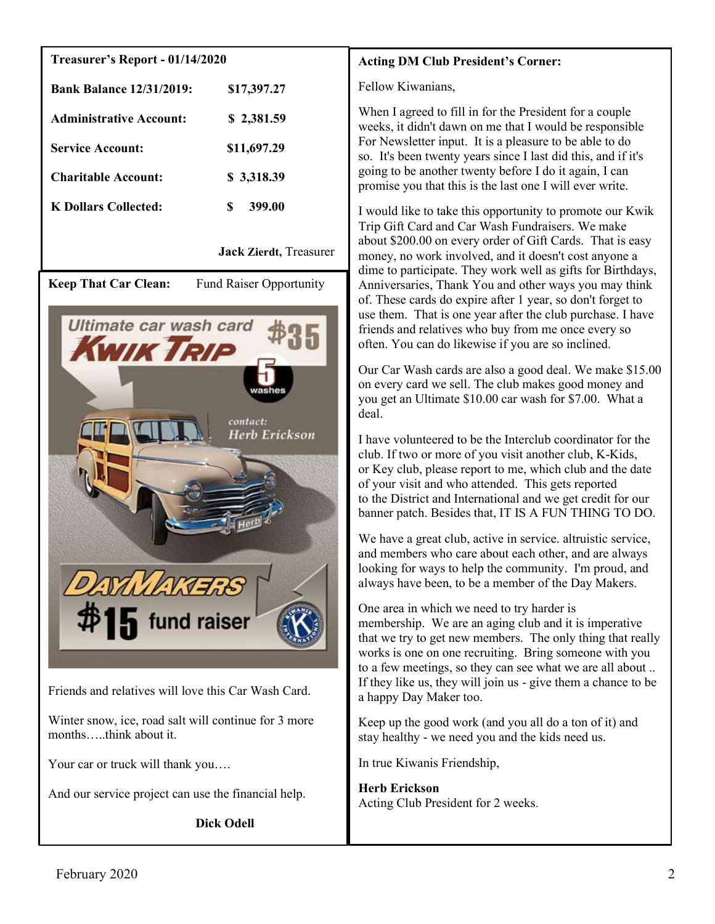## Treasurer's Report - 01/14/2020

| <b>Bank Balance 12/31/2019:</b> | \$17,397.27 |
|---------------------------------|-------------|
| <b>Administrative Account:</b>  | \$2,381.59  |
| <b>Service Account:</b>         | \$11,697.29 |
| <b>Charitable Account:</b>      | \$3,318.39  |
| K Dollars Collected:            | 399.00      |

Jack Zierdt, Treasurer

Keep That Car Clean: Fund Raiser Opportunity



Friends and relatives will love this Car Wash Card.

Winter snow, ice, road salt will continue for 3 more months…..think about it.

Your car or truck will thank you....

And our service project can use the financial help.

Dick Odell

# Acting DM Club President's Corner:

Fellow Kiwanians,

When I agreed to fill in for the President for a couple weeks, it didn't dawn on me that I would be responsible For Newsletter input. It is a pleasure to be able to do so. It's been twenty years since I last did this, and if it's going to be another twenty before I do it again, I can promise you that this is the last one I will ever write.

I would like to take this opportunity to promote our Kwik Trip Gift Card and Car Wash Fundraisers. We make about \$200.00 on every order of Gift Cards. That is easy money, no work involved, and it doesn't cost anyone a dime to participate. They work well as gifts for Birthdays, Anniversaries, Thank You and other ways you may think of. These cards do expire after 1 year, so don't forget to use them. That is one year after the club purchase. I have friends and relatives who buy from me once every so often. You can do likewise if you are so inclined.

Our Car Wash cards are also a good deal. We make \$15.00 on every card we sell. The club makes good money and you get an Ultimate \$10.00 car wash for \$7.00. What a deal.

I have volunteered to be the Interclub coordinator for the club. If two or more of you visit another club, K-Kids, or Key club, please report to me, which club and the date of your visit and who attended. This gets reported to the District and International and we get credit for our banner patch. Besides that, IT IS A FUN THING TO DO.

We have a great club, active in service. altruistic service, and members who care about each other, and are always looking for ways to help the community. I'm proud, and always have been, to be a member of the Day Makers.

One area in which we need to try harder is membership. We are an aging club and it is imperative that we try to get new members. The only thing that really works is one on one recruiting. Bring someone with you to a few meetings, so they can see what we are all about .. If they like us, they will join us - give them a chance to be a happy Day Maker too.

Keep up the good work (and you all do a ton of it) and stay healthy - we need you and the kids need us.

In true Kiwanis Friendship,

Herb Erickson Acting Club President for 2 weeks.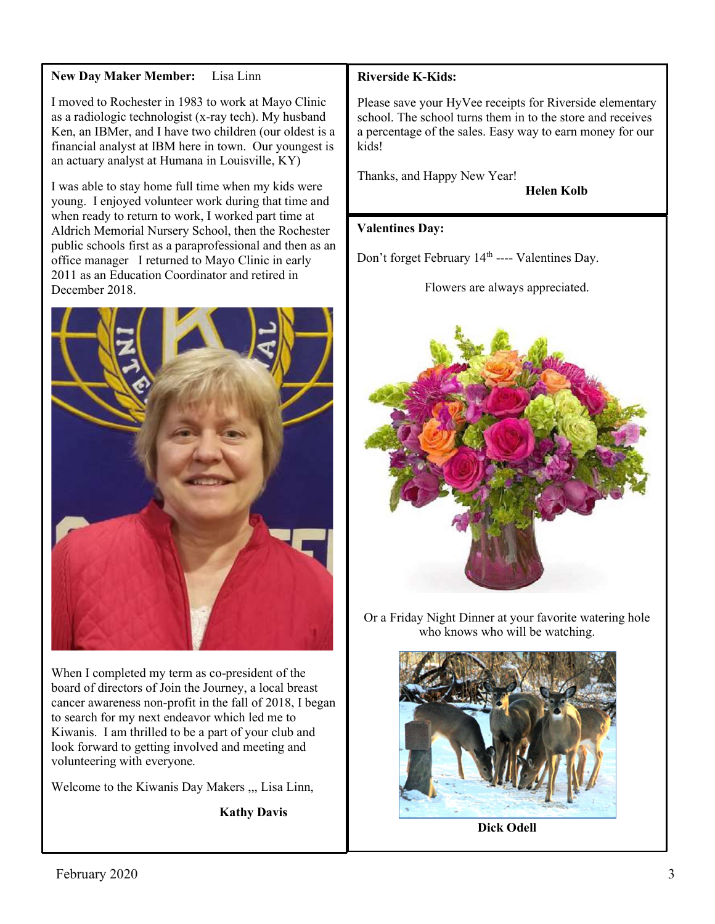## New Day Maker Member: Lisa Linn

I moved to Rochester in 1983 to work at Mayo Clinic as a radiologic technologist (x-ray tech). My husband Ken, an IBMer, and I have two children (our oldest is a financial analyst at IBM here in town. Our youngest is an actuary analyst at Humana in Louisville, KY)

I was able to stay home full time when my kids were young. I enjoyed volunteer work during that time and when ready to return to work, I worked part time at Aldrich Memorial Nursery School, then the Rochester public schools first as a paraprofessional and then as an office manager I returned to Mayo Clinic in early 2011 as an Education Coordinator and retired in December 2018.



When I completed my term as co-president of the board of directors of Join the Journey, a local breast cancer awareness non-profit in the fall of 2018, I began to search for my next endeavor which led me to Kiwanis. I am thrilled to be a part of your club and look forward to getting involved and meeting and volunteering with everyone.

Welcome to the Kiwanis Day Makers ,,, Lisa Linn,

Kathy Davis

## Riverside K-Kids:

Please save your HyVee receipts for Riverside elementary school. The school turns them in to the store and receives a percentage of the sales. Easy way to earn money for our kids!

Thanks, and Happy New Year!

Helen Kolb

#### Valentines Day:

Don't forget February 14<sup>th</sup> ---- Valentines Day.

Flowers are always appreciated.



Or a Friday Night Dinner at your favorite watering hole who knows who will be watching.



Dick Odell